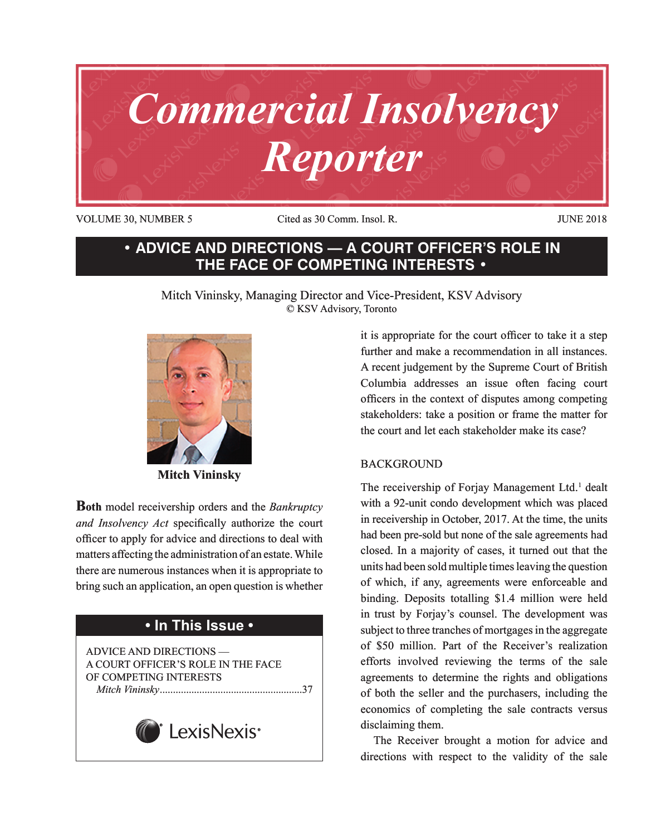

VOLUME 30, NUMBER 5 Cited as 30 Comm. Insol. R. JUNE 2018

## **• ADVICE AND DIRECTIONS — A COURT OFFICER'S ROLE IN THE FACE OF COMPETING INTERESTS •**

Mitch Vininsky, Managing Director and Vice-President, KSV Advisory © KSV Advisory, Toronto



**Mitch Vininsky**

**Both** model receivership orders and the *Bankruptcy and Insolvency Act* specifically authorize the court officer to apply for advice and directions to deal with matters affecting the administration of an estate. While there are numerous instances when it is appropriate to bring such an application, an open question is whether

# **• In This Issue •**

ADVICE AND DIRECTIONS — A COURT OFFICER'S ROLE IN THE FACE OF COMPETING INTERESTS *Mitch Vininsky*......................................................37



it is appropriate for the court officer to take it a step further and make a recommendation in all instances. A recent judgement by the Supreme Court of British Columbia addresses an issue often facing court officers in the context of disputes among competing stakeholders: take a position or frame the matter for the court and let each stakeholder make its case?

### BACKGROUND

The receivership of Forjay Management Ltd.<sup>1</sup> dealt with a 92-unit condo development which was placed in receivership in October, 2017. At the time, the units had been pre-sold but none of the sale agreements had closed. In a majority of cases, it turned out that the units had been sold multiple times leaving the question of which, if any, agreements were enforceable and binding. Deposits totalling \$1.4 million were held in trust by Forjay's counsel. The development was subject to three tranches of mortgages in the aggregate of \$50 million. Part of the Receiver's realization efforts involved reviewing the terms of the sale agreements to determine the rights and obligations of both the seller and the purchasers, including the economics of completing the sale contracts versus disclaiming them.

The Receiver brought a motion for advice and directions with respect to the validity of the sale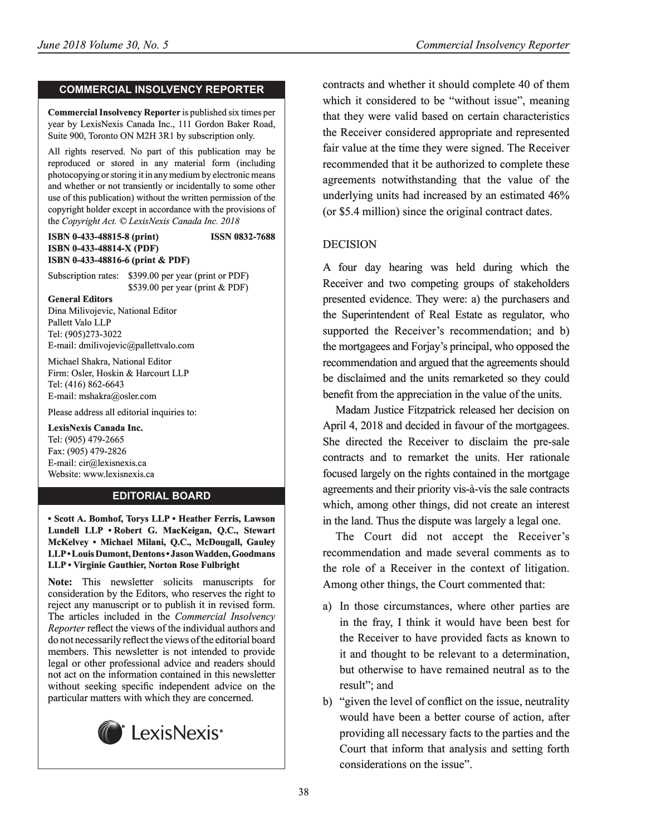#### **COMMERCIAL INSOLVENCY REPORTER**

**Commercial Insolvency Reporter** is published six times per year by LexisNexis Canada Inc., 111 Gordon Baker Road, Suite 900, Toronto ON M2H 3R1 by subscription only.

All rights reserved. No part of this publication may be reproduced or stored in any material form (including photocopying or storing it in any medium by electronic means and whether or not transiently or incidentally to some other use of this publication) without the written permission of the copyright holder except in accordance with the provisions of the *Copyright Act. © LexisNexis Canada Inc. 2018*

**ISBN 0-433-48815-8 (print) ISSN 0832-7688 ISBN 0-433-48814-X (PDF) ISBN 0-433-48816-6 (print & PDF)**

Subscription rates: \$399.00 per year (print or PDF) \$539.00 per year (print & PDF)

**General Editors** Dina Milivojevic, National Editor Pallett Valo LLP Tel: (905)273-3022 E-mail: dmilivojevic@pallettvalo.com

Michael Shakra, National Editor Firm: Osler, Hoskin & Harcourt LLP Tel: (416) 862-6643 E-mail: mshakra@osler.com

Please address all editorial inquiries to:

**LexisNexis Canada Inc.** Tel: (905) 479-2665 Fax: (905) 479-2826 E-mail: cir@lexisnexis.ca Website: www.lexisnexis.ca

#### **EDITORIAL BOARD**

**• Scott A. Bomhof, Torys LLP • Heather Ferris, Lawson Lundell LLP • Robert G. MacKeigan, Q.C., Stewart McKelvey • Michael Milani, Q.C., McDougall, Gauley LLP • Louis Dumont, Dentons • Jason Wadden, Goodmans LLP • Virginie Gauthier, Norton Rose Fulbright**

**Note:** This newsletter solicits manuscripts for consideration by the Editors, who reserves the right to reject any manuscript or to publish it in revised form. The articles included in the *Commercial Insolvency Reporter* reflect the views of the individual authors and do not necessarily reflect the views of the editorial board members. This newsletter is not intended to provide legal or other professional advice and readers should not act on the information contained in this newsletter without seeking specific independent advice on the particular matters with which they are concerned.



contracts and whether it should complete 40 of them which it considered to be "without issue", meaning that they were valid based on certain characteristics the Receiver considered appropriate and represented fair value at the time they were signed. The Receiver recommended that it be authorized to complete these agreements notwithstanding that the value of the underlying units had increased by an estimated 46% (or \$5.4 million) since the original contract dates.

#### DECISION

A four day hearing was held during which the Receiver and two competing groups of stakeholders presented evidence. They were: a) the purchasers and the Superintendent of Real Estate as regulator, who supported the Receiver's recommendation; and b) the mortgagees and Forjay's principal, who opposed the recommendation and argued that the agreements should be disclaimed and the units remarketed so they could benefit from the appreciation in the value of the units.

Madam Justice Fitzpatrick released her decision on April 4, 2018 and decided in favour of the mortgagees. She directed the Receiver to disclaim the pre-sale contracts and to remarket the units. Her rationale focused largely on the rights contained in the mortgage agreements and their priority vis-à-vis the sale contracts which, among other things, did not create an interest in the land. Thus the dispute was largely a legal one.

The Court did not accept the Receiver's recommendation and made several comments as to the role of a Receiver in the context of litigation. Among other things, the Court commented that:

- a) In those circumstances, where other parties are in the fray, I think it would have been best for the Receiver to have provided facts as known to it and thought to be relevant to a determination, but otherwise to have remained neutral as to the result"; and
- b) "given the level of conflict on the issue, neutrality would have been a better course of action, after providing all necessary facts to the parties and the Court that inform that analysis and setting forth considerations on the issue".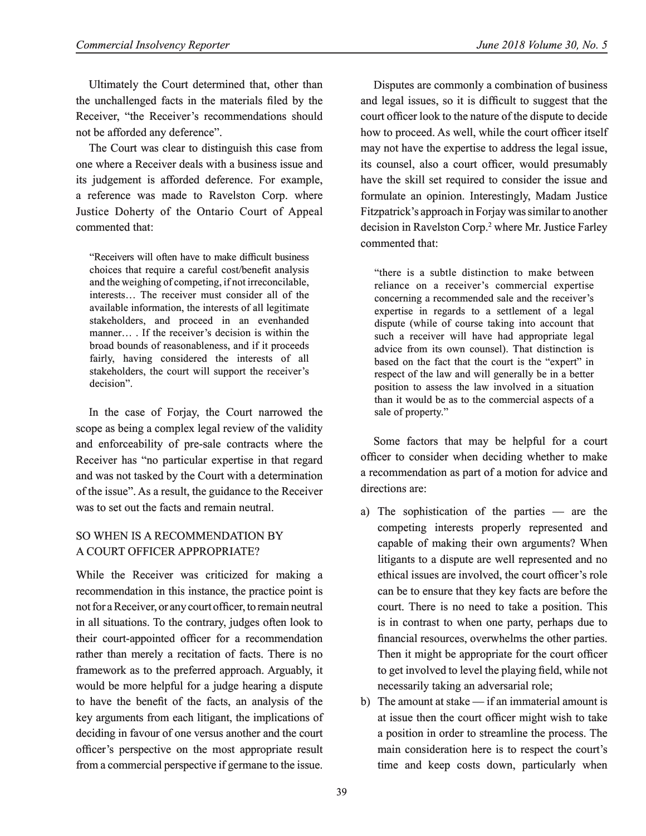Ultimately the Court determined that, other than the unchallenged facts in the materials filed by the Receiver, "the Receiver's recommendations should not be afforded any deference".

The Court was clear to distinguish this case from one where a Receiver deals with a business issue and its judgement is afforded deference. For example, a reference was made to Ravelston Corp. where Justice Doherty of the Ontario Court of Appeal commented that:

"Receivers will often have to make difficult business choices that require a careful cost/benefit analysis and the weighing of competing, if not irreconcilable, interests… The receiver must consider all of the available information, the interests of all legitimate stakeholders, and proceed in an evenhanded manner… . If the receiver's decision is within the broad bounds of reasonableness, and if it proceeds fairly, having considered the interests of all stakeholders, the court will support the receiver's decision".

In the case of Forjay, the Court narrowed the scope as being a complex legal review of the validity and enforceability of pre-sale contracts where the Receiver has "no particular expertise in that regard and was not tasked by the Court with a determination of the issue". As a result, the guidance to the Receiver was to set out the facts and remain neutral.

### SO WHEN IS A RECOMMENDATION BY A COURT OFFICER APPROPRIATE?

While the Receiver was criticized for making a recommendation in this instance, the practice point is not for a Receiver, or any court officer, to remain neutral in all situations. To the contrary, judges often look to their court-appointed officer for a recommendation rather than merely a recitation of facts. There is no framework as to the preferred approach. Arguably, it would be more helpful for a judge hearing a dispute to have the benefit of the facts, an analysis of the key arguments from each litigant, the implications of deciding in favour of one versus another and the court officer's perspective on the most appropriate result from a commercial perspective if germane to the issue.

Disputes are commonly a combination of business and legal issues, so it is difficult to suggest that the court officer look to the nature of the dispute to decide how to proceed. As well, while the court officer itself may not have the expertise to address the legal issue, its counsel, also a court officer, would presumably have the skill set required to consider the issue and formulate an opinion. Interestingly, Madam Justice Fitzpatrick's approach in Forjay was similar to another decision in Ravelston Corp.<sup>2</sup> where Mr. Justice Farley commented that:

"there is a subtle distinction to make between reliance on a receiver's commercial expertise concerning a recommended sale and the receiver's expertise in regards to a settlement of a legal dispute (while of course taking into account that such a receiver will have had appropriate legal advice from its own counsel). That distinction is based on the fact that the court is the "expert" in respect of the law and will generally be in a better position to assess the law involved in a situation than it would be as to the commercial aspects of a sale of property."

Some factors that may be helpful for a court officer to consider when deciding whether to make a recommendation as part of a motion for advice and directions are:

- a) The sophistication of the parties are the competing interests properly represented and capable of making their own arguments? When litigants to a dispute are well represented and no ethical issues are involved, the court officer's role can be to ensure that they key facts are before the court. There is no need to take a position. This is in contrast to when one party, perhaps due to financial resources, overwhelms the other parties. Then it might be appropriate for the court officer to get involved to level the playing field, while not necessarily taking an adversarial role;
- b) The amount at stake if an immaterial amount is at issue then the court officer might wish to take a position in order to streamline the process. The main consideration here is to respect the court's time and keep costs down, particularly when